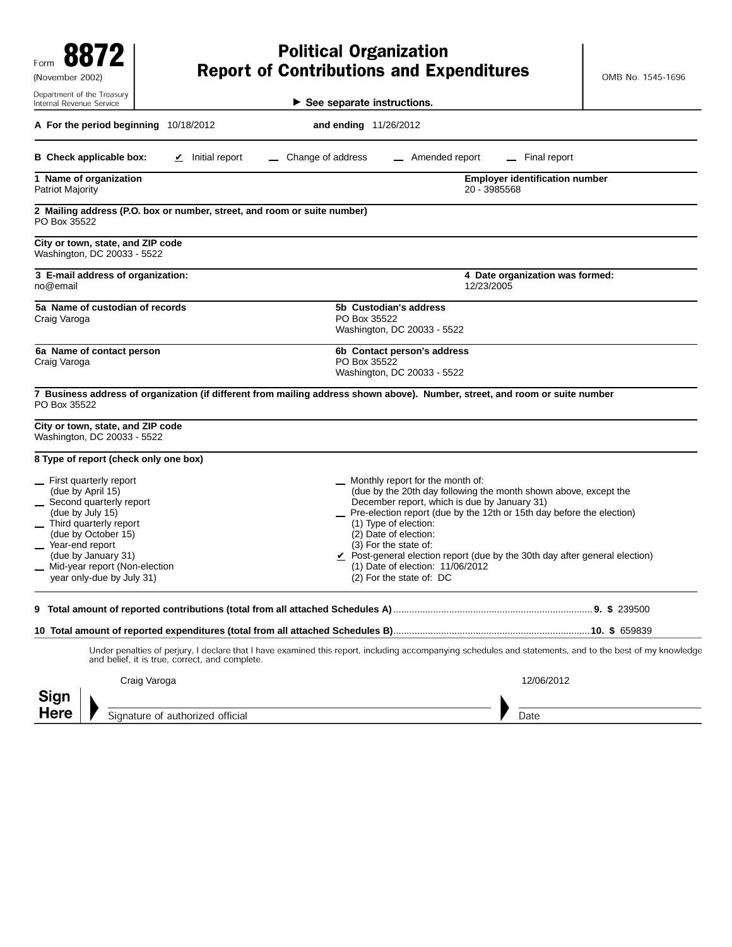| Form<br>(November 2002)                                                                                                                                                                                                                                   |                                                                                    | <b>Political Organization</b><br><b>Report of Contributions and Expenditures</b>                                                                                                                                                                                                                                                                                                                                                                                   | OMB No. 1545-1696                     |
|-----------------------------------------------------------------------------------------------------------------------------------------------------------------------------------------------------------------------------------------------------------|------------------------------------------------------------------------------------|--------------------------------------------------------------------------------------------------------------------------------------------------------------------------------------------------------------------------------------------------------------------------------------------------------------------------------------------------------------------------------------------------------------------------------------------------------------------|---------------------------------------|
| Department of the Treasury<br>Internal Revenue Service                                                                                                                                                                                                    |                                                                                    | $\blacktriangleright$ See separate instructions.                                                                                                                                                                                                                                                                                                                                                                                                                   |                                       |
| A For the period beginning 10/18/2012                                                                                                                                                                                                                     |                                                                                    | and ending 11/26/2012                                                                                                                                                                                                                                                                                                                                                                                                                                              |                                       |
| <b>B</b> Check applicable box:                                                                                                                                                                                                                            | $\angle$ Initial report                                                            | Change of address<br>_ Amended report                                                                                                                                                                                                                                                                                                                                                                                                                              | Final report                          |
| 1 Name of organization<br>Patriot Majority                                                                                                                                                                                                                |                                                                                    | 20 - 3985568                                                                                                                                                                                                                                                                                                                                                                                                                                                       | <b>Employer identification number</b> |
| PO Box 35522                                                                                                                                                                                                                                              | 2 Mailing address (P.O. box or number, street, and room or suite number)           |                                                                                                                                                                                                                                                                                                                                                                                                                                                                    |                                       |
| City or town, state, and ZIP code<br>Washington, DC 20033 - 5522                                                                                                                                                                                          |                                                                                    |                                                                                                                                                                                                                                                                                                                                                                                                                                                                    |                                       |
| no@email                                                                                                                                                                                                                                                  | 3 E-mail address of organization:<br>4 Date organization was formed:<br>12/23/2005 |                                                                                                                                                                                                                                                                                                                                                                                                                                                                    |                                       |
| 5a Name of custodian of records<br>Craig Varoga                                                                                                                                                                                                           |                                                                                    | 5b Custodian's address<br>PO Box 35522<br>Washington, DC 20033 - 5522                                                                                                                                                                                                                                                                                                                                                                                              |                                       |
| 6a Name of contact person<br>Craig Varoga                                                                                                                                                                                                                 |                                                                                    | 6b Contact person's address<br>PO Box 35522<br>Washington, DC 20033 - 5522                                                                                                                                                                                                                                                                                                                                                                                         |                                       |
| PO Box 35522                                                                                                                                                                                                                                              |                                                                                    | 7 Business address of organization (if different from mailing address shown above). Number, street, and room or suite number                                                                                                                                                                                                                                                                                                                                       |                                       |
| City or town, state, and ZIP code<br>Washington, DC 20033 - 5522                                                                                                                                                                                          |                                                                                    |                                                                                                                                                                                                                                                                                                                                                                                                                                                                    |                                       |
| 8 Type of report (check only one box)                                                                                                                                                                                                                     |                                                                                    |                                                                                                                                                                                                                                                                                                                                                                                                                                                                    |                                       |
| First quarterly report<br>(due by April 15)<br>_ Second quarterly report<br>(due by July 15)<br>Third quarterly report<br>(due by October 15)<br>_ Year-end report<br>(due by January 31)<br>_ Mid-year report (Non-election<br>year only-due by July 31) |                                                                                    | _ Monthly report for the month of:<br>(due by the 20th day following the month shown above, except the<br>December report, which is due by January 31)<br>_ Pre-election report (due by the 12th or 15th day before the election)<br>(1) Type of election:<br>(2) Date of election:<br>(3) For the state of:<br>$\angle$ Post-general election report (due by the 30th day after general election)<br>(1) Date of election: 11/06/2012<br>(2) For the state of: DC |                                       |
|                                                                                                                                                                                                                                                           |                                                                                    |                                                                                                                                                                                                                                                                                                                                                                                                                                                                    |                                       |
|                                                                                                                                                                                                                                                           |                                                                                    |                                                                                                                                                                                                                                                                                                                                                                                                                                                                    |                                       |
|                                                                                                                                                                                                                                                           | and belief, it is true, correct, and complete.                                     | Under penalties of perjury, I declare that I have examined this report, including accompanying schedules and statements, and to the best of my knowledge                                                                                                                                                                                                                                                                                                           |                                       |
| Craig Varoga<br>Sign                                                                                                                                                                                                                                      |                                                                                    |                                                                                                                                                                                                                                                                                                                                                                                                                                                                    | 12/06/2012                            |
| Here                                                                                                                                                                                                                                                      | Signature of authorized official                                                   |                                                                                                                                                                                                                                                                                                                                                                                                                                                                    | Date                                  |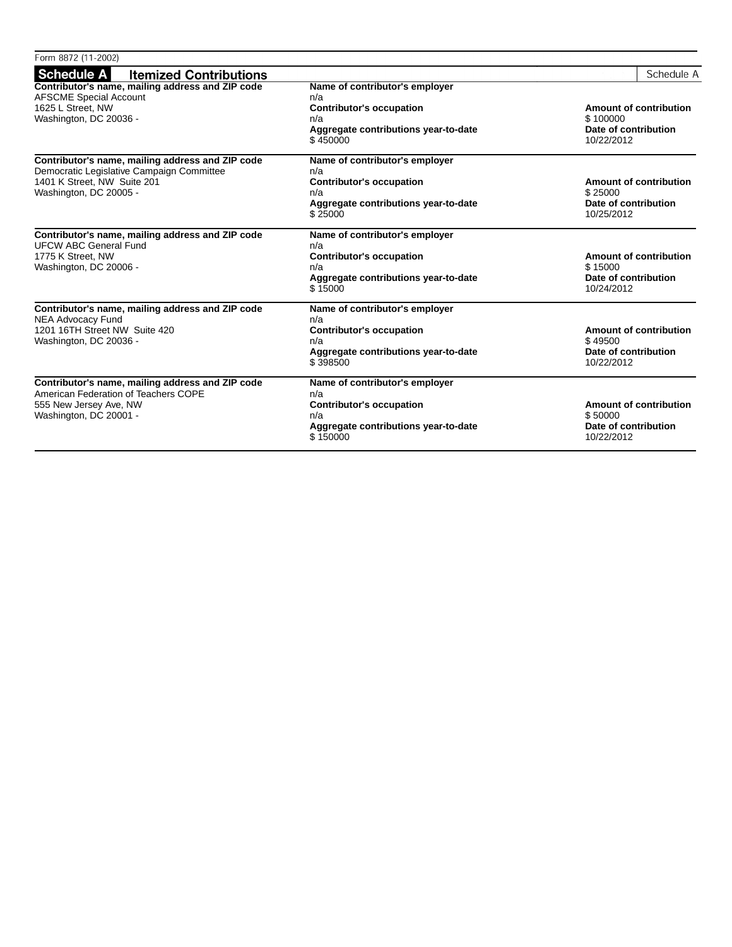| Form 8872 (11-2002)                                                                                                                                    |                                                                                                                                     |                                                                                |
|--------------------------------------------------------------------------------------------------------------------------------------------------------|-------------------------------------------------------------------------------------------------------------------------------------|--------------------------------------------------------------------------------|
| Schedule A<br><b>Itemized Contributions</b>                                                                                                            |                                                                                                                                     | Schedule A                                                                     |
| Contributor's name, mailing address and ZIP code<br><b>AFSCME Special Account</b><br>1625 L Street, NW<br>Washington, DC 20036 -                       | Name of contributor's employer<br>n/a<br><b>Contributor's occupation</b><br>n/a<br>Aggregate contributions year-to-date<br>\$450000 | Amount of contribution<br>\$100000<br>Date of contribution<br>10/22/2012       |
| Contributor's name, mailing address and ZIP code<br>Democratic Legislative Campaign Committee<br>1401 K Street. NW Suite 201<br>Washington, DC 20005 - | Name of contributor's employer<br>n/a<br><b>Contributor's occupation</b><br>n/a<br>Aggregate contributions year-to-date<br>\$25000  | Amount of contribution<br>\$25000<br>Date of contribution<br>10/25/2012        |
| Contributor's name, mailing address and ZIP code<br><b>UFCW ABC General Fund</b><br>1775 K Street, NW<br>Washington, DC 20006 -                        | Name of contributor's employer<br>n/a<br><b>Contributor's occupation</b><br>n/a<br>Aggregate contributions year-to-date<br>\$15000  | <b>Amount of contribution</b><br>\$15000<br>Date of contribution<br>10/24/2012 |
| Contributor's name, mailing address and ZIP code<br><b>NEA Advocacy Fund</b><br>1201 16TH Street NW Suite 420<br>Washington, DC 20036 -                | Name of contributor's employer<br>n/a<br><b>Contributor's occupation</b><br>n/a<br>Aggregate contributions year-to-date<br>\$398500 | <b>Amount of contribution</b><br>\$49500<br>Date of contribution<br>10/22/2012 |
| Contributor's name, mailing address and ZIP code<br>American Federation of Teachers COPE<br>555 New Jersey Ave, NW<br>Washington, DC 20001 -           | Name of contributor's employer<br>n/a<br><b>Contributor's occupation</b><br>n/a<br>Aggregate contributions year-to-date<br>\$150000 | <b>Amount of contribution</b><br>\$50000<br>Date of contribution<br>10/22/2012 |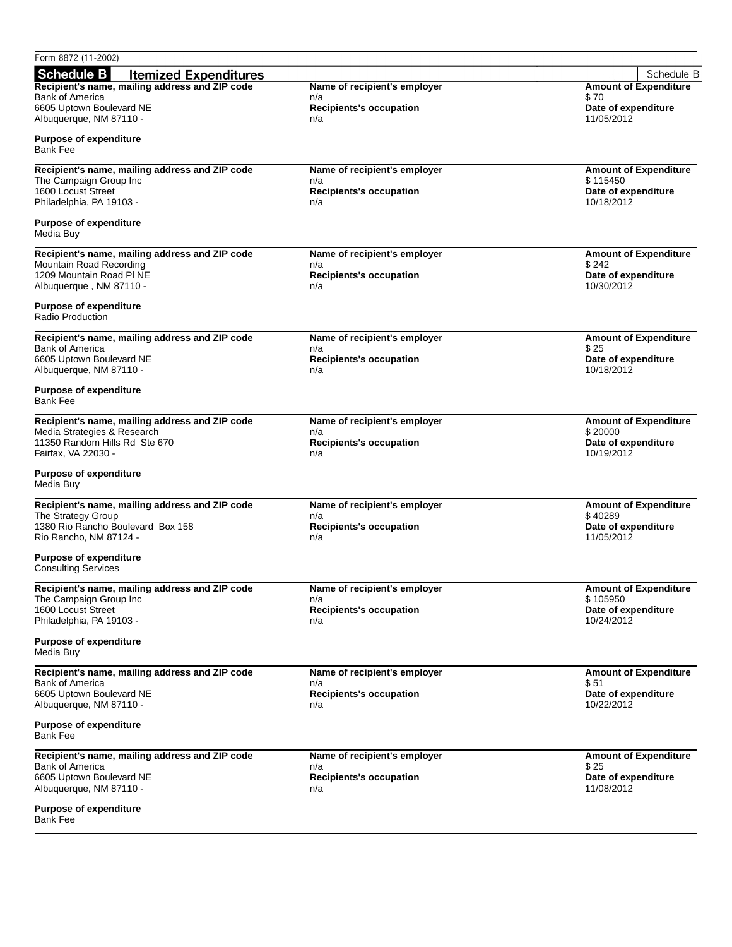| Form 8872 (11-2002)                                                      |                                       |                                   |
|--------------------------------------------------------------------------|---------------------------------------|-----------------------------------|
| <b>Schedule B</b><br><b>Itemized Expenditures</b>                        |                                       | Schedule B                        |
| Recipient's name, mailing address and ZIP code                           | Name of recipient's employer          | <b>Amount of Expenditure</b>      |
| <b>Bank of America</b><br>6605 Uptown Boulevard NE                       | n/a<br><b>Recipients's occupation</b> | \$70<br>Date of expenditure       |
| Albuquerque, NM 87110 -                                                  | n/a                                   | 11/05/2012                        |
|                                                                          |                                       |                                   |
| <b>Purpose of expenditure</b><br><b>Bank Fee</b>                         |                                       |                                   |
|                                                                          | Name of recipient's employer          | <b>Amount of Expenditure</b>      |
| Recipient's name, mailing address and ZIP code<br>The Campaign Group Inc | n/a                                   | \$115450                          |
| 1600 Locust Street                                                       | <b>Recipients's occupation</b>        | Date of expenditure               |
| Philadelphia, PA 19103 -                                                 | n/a                                   | 10/18/2012                        |
| <b>Purpose of expenditure</b><br>Media Buy                               |                                       |                                   |
| Recipient's name, mailing address and ZIP code                           | Name of recipient's employer          | <b>Amount of Expenditure</b>      |
| Mountain Road Recording                                                  | n/a                                   | \$242                             |
| 1209 Mountain Road PI NE<br>Albuquerque, NM 87110 -                      | <b>Recipients's occupation</b><br>n/a | Date of expenditure<br>10/30/2012 |
|                                                                          |                                       |                                   |
| <b>Purpose of expenditure</b><br>Radio Production                        |                                       |                                   |
| Recipient's name, mailing address and ZIP code                           | Name of recipient's employer          | <b>Amount of Expenditure</b>      |
| <b>Bank of America</b>                                                   | n/a                                   | \$25                              |
| 6605 Uptown Boulevard NE<br>Albuquerque, NM 87110 -                      | <b>Recipients's occupation</b><br>n/a | Date of expenditure<br>10/18/2012 |
| <b>Purpose of expenditure</b>                                            |                                       |                                   |
| <b>Bank Fee</b>                                                          |                                       |                                   |
| Recipient's name, mailing address and ZIP code                           | Name of recipient's employer          | <b>Amount of Expenditure</b>      |
| Media Strategies & Research                                              | n/a                                   | \$20000                           |
| 11350 Random Hills Rd Ste 670<br>Fairfax, VA 22030 -                     | <b>Recipients's occupation</b><br>n/a | Date of expenditure<br>10/19/2012 |
|                                                                          |                                       |                                   |
| <b>Purpose of expenditure</b><br>Media Buy                               |                                       |                                   |
| Recipient's name, mailing address and ZIP code                           | Name of recipient's employer          | <b>Amount of Expenditure</b>      |
| The Strategy Group                                                       | n/a<br><b>Recipients's occupation</b> | \$40289                           |
| 1380 Rio Rancho Boulevard Box 158<br>Rio Rancho, NM 87124 -              | n/a                                   | Date of expenditure<br>11/05/2012 |
|                                                                          |                                       |                                   |
| <b>Purpose of expenditure</b><br><b>Consulting Services</b>              |                                       |                                   |
| Recipient's name, mailing address and ZIP code                           | Name of recipient's employer          | <b>Amount of Expenditure</b>      |
| The Campaign Group Inc                                                   | n/a                                   | \$105950                          |
| 1600 Locust Street<br>Philadelphia, PA 19103 -                           | <b>Recipients's occupation</b><br>n/a | Date of expenditure<br>10/24/2012 |
| <b>Purpose of expenditure</b>                                            |                                       |                                   |
| Media Buy                                                                |                                       |                                   |
| Recipient's name, mailing address and ZIP code                           | Name of recipient's employer          | <b>Amount of Expenditure</b>      |
| <b>Bank of America</b>                                                   | n/a                                   | \$ 51                             |
| 6605 Uptown Boulevard NE<br>Albuquerque, NM 87110 -                      | <b>Recipients's occupation</b><br>n/a | Date of expenditure<br>10/22/2012 |
|                                                                          |                                       |                                   |
| <b>Purpose of expenditure</b><br><b>Bank Fee</b>                         |                                       |                                   |
| Recipient's name, mailing address and ZIP code                           | Name of recipient's employer          | <b>Amount of Expenditure</b>      |
| <b>Bank of America</b>                                                   | n/a                                   | \$25                              |
| 6605 Uptown Boulevard NE<br>Albuquerque, NM 87110 -                      | <b>Recipients's occupation</b><br>n/a | Date of expenditure<br>11/08/2012 |
|                                                                          |                                       |                                   |
| <b>Purpose of expenditure</b><br>Bank Fee                                |                                       |                                   |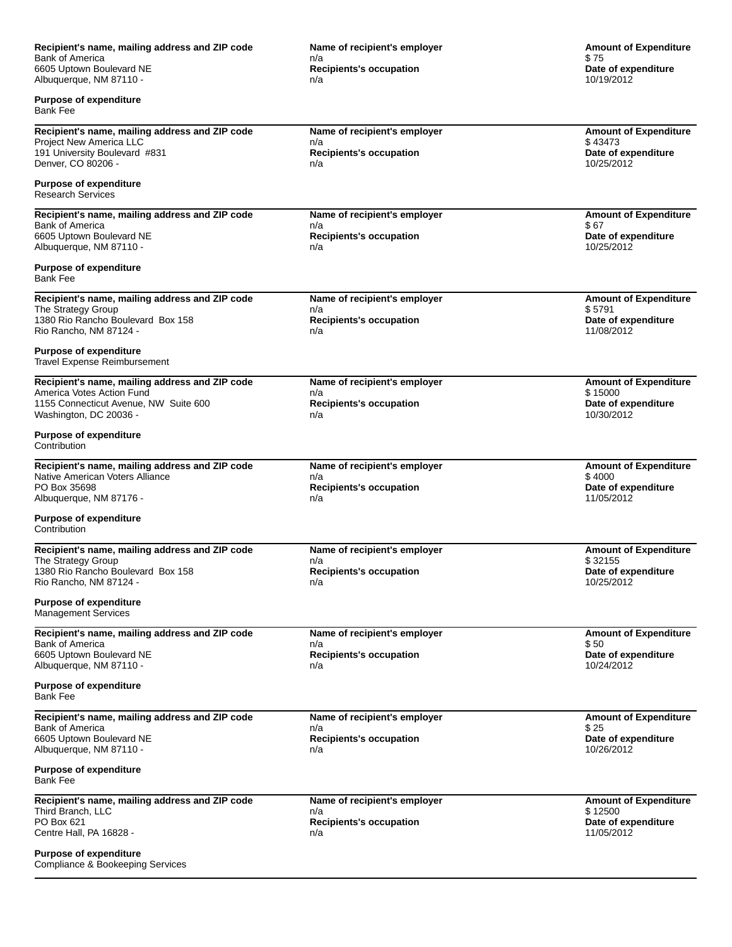| Recipient's name, mailing address and ZIP code                                    | Name of recipient's employer          | <b>Amount of Expenditure</b>            |  |
|-----------------------------------------------------------------------------------|---------------------------------------|-----------------------------------------|--|
| <b>Bank of America</b><br>6605 Uptown Boulevard NE                                | n/a<br><b>Recipients's occupation</b> | \$75                                    |  |
| Albuquerque, NM 87110 -                                                           | n/a                                   | Date of expenditure<br>10/19/2012       |  |
| <b>Purpose of expenditure</b><br><b>Bank Fee</b>                                  |                                       |                                         |  |
| Recipient's name, mailing address and ZIP code                                    | Name of recipient's employer          | <b>Amount of Expenditure</b>            |  |
| Project New America LLC<br>191 University Boulevard #831                          | n/a<br><b>Recipients's occupation</b> | \$43473<br>Date of expenditure          |  |
| Denver, CO 80206 -                                                                | n/a                                   | 10/25/2012                              |  |
| <b>Purpose of expenditure</b><br><b>Research Services</b>                         |                                       |                                         |  |
| Recipient's name, mailing address and ZIP code<br>Bank of America                 | Name of recipient's employer<br>n/a   | <b>Amount of Expenditure</b><br>\$67    |  |
| 6605 Uptown Boulevard NE                                                          | <b>Recipients's occupation</b>        | Date of expenditure                     |  |
| Albuquerque, NM 87110 -                                                           | n/a                                   | 10/25/2012                              |  |
| <b>Purpose of expenditure</b><br><b>Bank Fee</b>                                  |                                       |                                         |  |
| Recipient's name, mailing address and ZIP code<br>The Strategy Group              | Name of recipient's employer<br>n/a   | <b>Amount of Expenditure</b><br>\$5791  |  |
| 1380 Rio Rancho Boulevard Box 158                                                 | <b>Recipients's occupation</b>        | Date of expenditure                     |  |
| Rio Rancho, NM 87124 -                                                            | n/a                                   | 11/08/2012                              |  |
| <b>Purpose of expenditure</b><br><b>Travel Expense Reimbursement</b>              |                                       |                                         |  |
| Recipient's name, mailing address and ZIP code<br>America Votes Action Fund       | Name of recipient's employer<br>n/a   | <b>Amount of Expenditure</b><br>\$15000 |  |
| 1155 Connecticut Avenue, NW Suite 600                                             | <b>Recipients's occupation</b>        | Date of expenditure                     |  |
| Washington, DC 20036 -                                                            | n/a                                   | 10/30/2012                              |  |
| <b>Purpose of expenditure</b><br>Contribution                                     |                                       |                                         |  |
| Recipient's name, mailing address and ZIP code<br>Native American Voters Alliance | Name of recipient's employer<br>n/a   | <b>Amount of Expenditure</b><br>\$4000  |  |
| PO Box 35698                                                                      | <b>Recipients's occupation</b>        | Date of expenditure                     |  |
| Albuquerque, NM 87176 -                                                           | n/a                                   | 11/05/2012                              |  |
| <b>Purpose of expenditure</b><br>Contribution                                     |                                       |                                         |  |
| Recipient's name, mailing address and ZIP code                                    | Name of recipient's employer          | <b>Amount of Expenditure</b>            |  |
| The Strategy Group<br>1380 Rio Rancho Boulevard Box 158                           | n/a<br><b>Recipients's occupation</b> | \$32155<br>Date of expenditure          |  |
| Rio Rancho, NM 87124 -                                                            | n/a                                   | 10/25/2012                              |  |
| <b>Purpose of expenditure</b><br><b>Management Services</b>                       |                                       |                                         |  |
| Recipient's name, mailing address and ZIP code<br>Bank of America                 | Name of recipient's employer<br>n/a   | <b>Amount of Expenditure</b><br>\$50    |  |
| 6605 Uptown Boulevard NE                                                          | <b>Recipients's occupation</b>        | Date of expenditure                     |  |
| Albuquerque, NM 87110 -                                                           | n/a                                   | 10/24/2012                              |  |
| <b>Purpose of expenditure</b><br>Bank Fee                                         |                                       |                                         |  |
| Recipient's name, mailing address and ZIP code<br><b>Bank of America</b>          | Name of recipient's employer          | <b>Amount of Expenditure</b><br>\$25    |  |
| 6605 Uptown Boulevard NE                                                          | n/a<br><b>Recipients's occupation</b> | Date of expenditure                     |  |
| Albuquerque, NM 87110 -                                                           | n/a                                   | 10/26/2012                              |  |
| <b>Purpose of expenditure</b><br><b>Bank Fee</b>                                  |                                       |                                         |  |
| Recipient's name, mailing address and ZIP code<br>Third Branch, LLC               | Name of recipient's employer<br>n/a   | <b>Amount of Expenditure</b><br>\$12500 |  |
| PO Box 621                                                                        | <b>Recipients's occupation</b>        | Date of expenditure                     |  |
| Centre Hall, PA 16828 -                                                           | n/a                                   | 11/05/2012                              |  |
| <b>Purpose of expenditure</b><br>Compliance & Bookeeping Services                 |                                       |                                         |  |